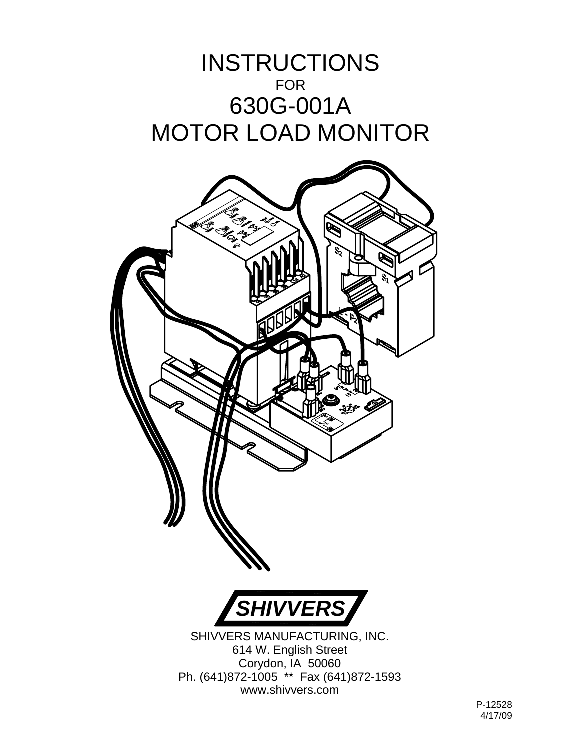## INSTRUCTIONS FOR 630G-001A MOTOR LOAD MONITOR

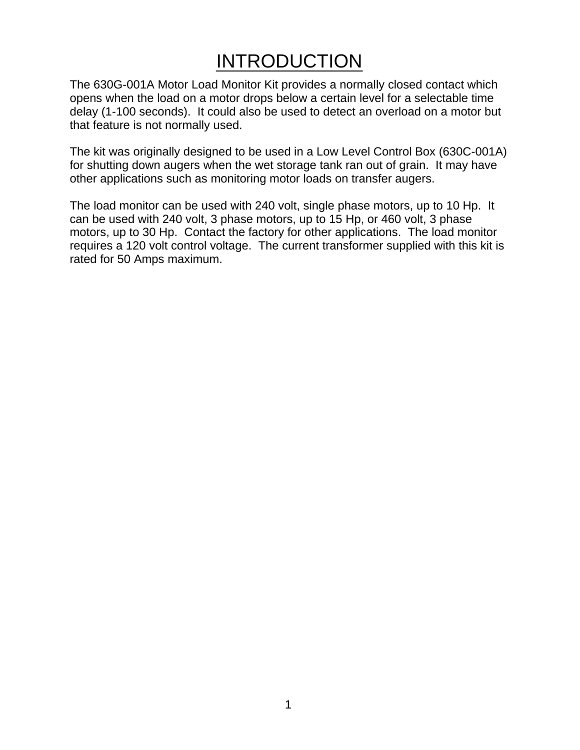## **INTRODUCTION**

The 630G-001A Motor Load Monitor Kit provides a normally closed contact which opens when the load on a motor drops below a certain level for a selectable time delay (1-100 seconds). It could also be used to detect an overload on a motor but that feature is not normally used.

The kit was originally designed to be used in a Low Level Control Box (630C-001A) for shutting down augers when the wet storage tank ran out of grain. It may have other applications such as monitoring motor loads on transfer augers.

The load monitor can be used with 240 volt, single phase motors, up to 10 Hp. It can be used with 240 volt, 3 phase motors, up to 15 Hp, or 460 volt, 3 phase motors, up to 30 Hp. Contact the factory for other applications. The load monitor requires a 120 volt control voltage. The current transformer supplied with this kit is rated for 50 Amps maximum.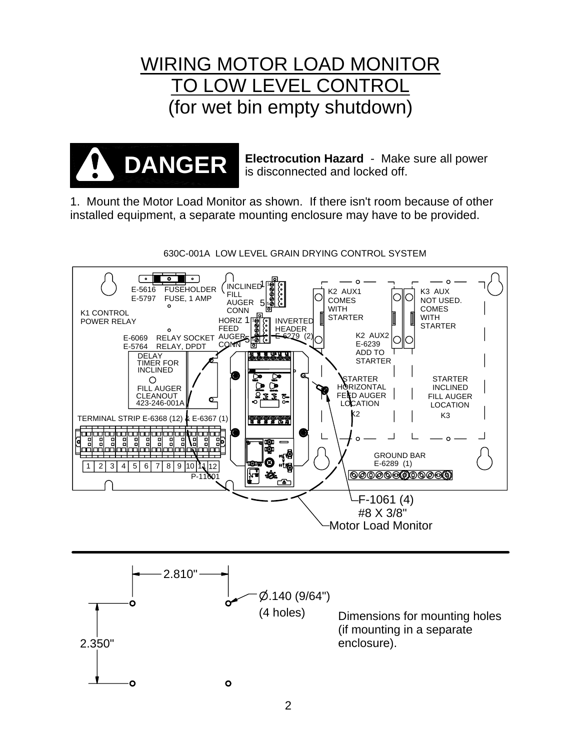## WIRING MOTOR LOAD MONITOR TO LOW LEVEL CONTROL (for wet bin empty shutdown)



**Electrocution Hazard** - Make sure all power is disconnected and locked off.

1. Mount the Motor Load Monitor as shown. If there isn't room because of other installed equipment, a separate mounting enclosure may have to be provided.



630C-001A LOW LEVEL GRAIN DRYING CONTROL SYSTEM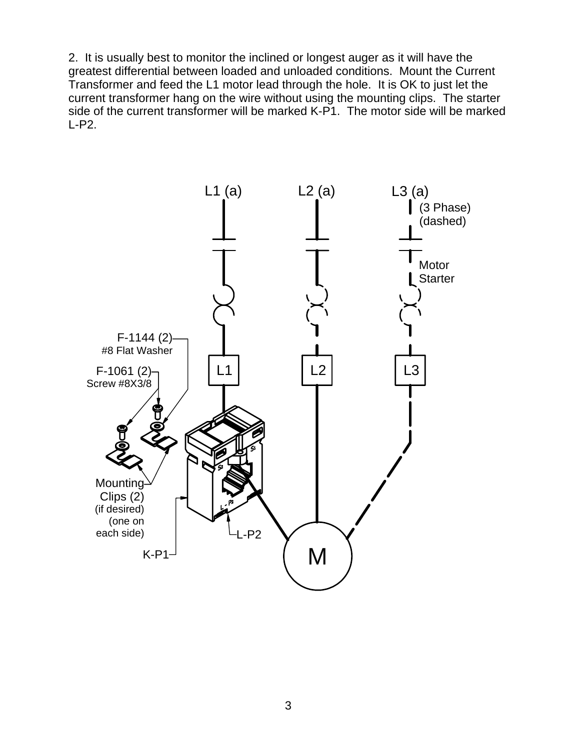2. It is usually best to monitor the inclined or longest auger as it will have the greatest differential between loaded and unloaded conditions. Mount the Current Transformer and feed the L1 motor lead through the hole. It is OK to just let the current transformer hang on the wire without using the mounting clips. The starter side of the current transformer will be marked K-P1. The motor side will be marked L-P2.

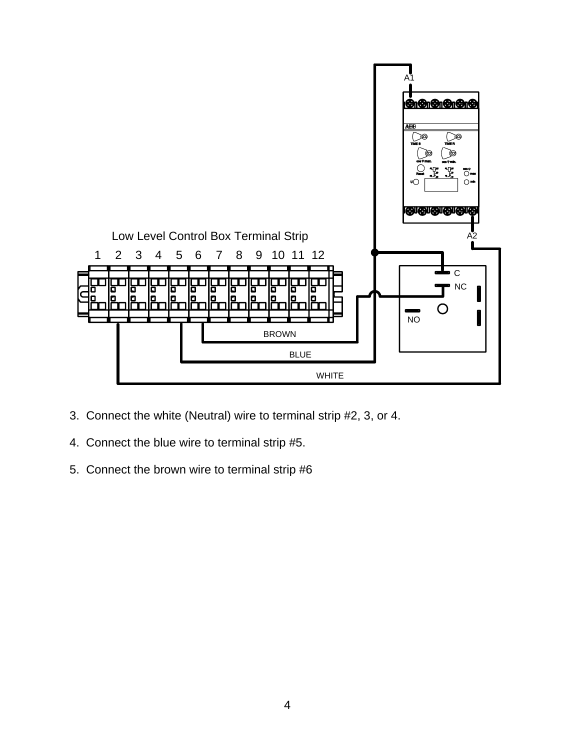

- 3. Connect the white (Neutral) wire to terminal strip #2, 3, or 4.
- 4. Connect the blue wire to terminal strip #5.
- 5. Connect the brown wire to terminal strip #6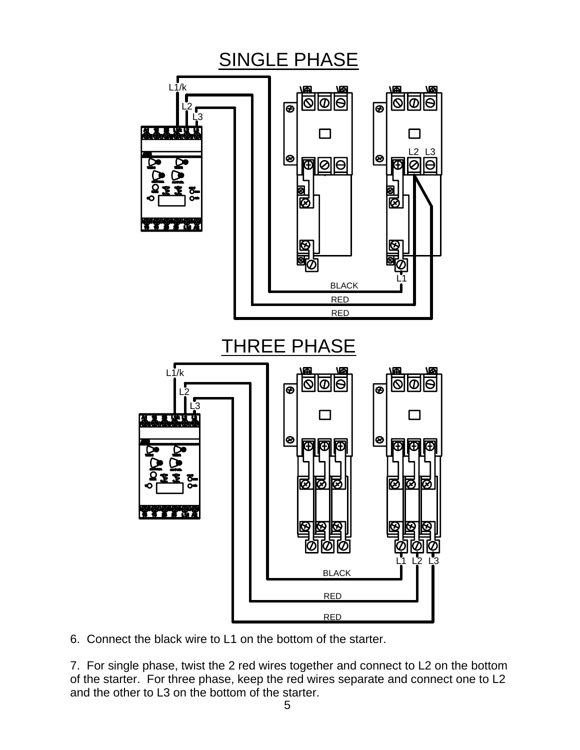

6. Connect the black wire to L1 on the bottom of the starter.

7. For single phase, twist the 2 red wires together and connect to L2 on the bottom of the starter. For three phase, keep the red wires separate and connect one to L2 and the other to L3 on the bottom of the starter.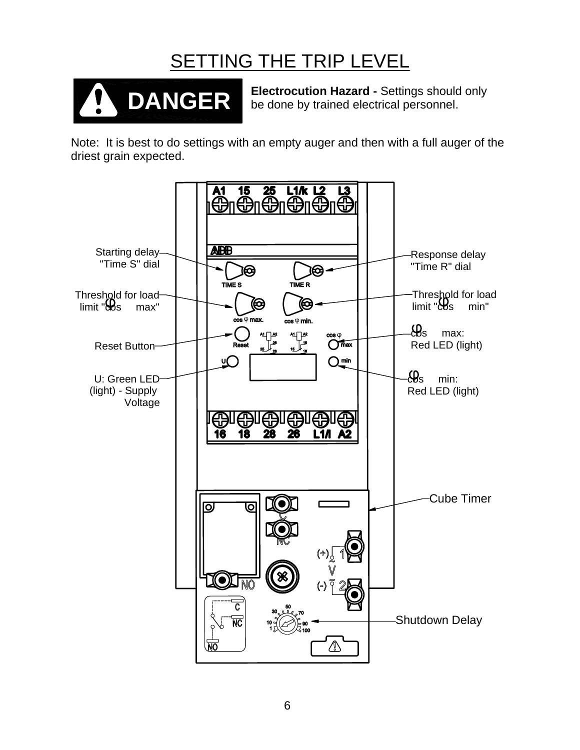## SETTING THE TRIP LEVEL



**Electrocution Hazard -** Settings should only be done by trained electrical personnel.

Note: It is best to do settings with an empty auger and then with a full auger of the driest grain expected.

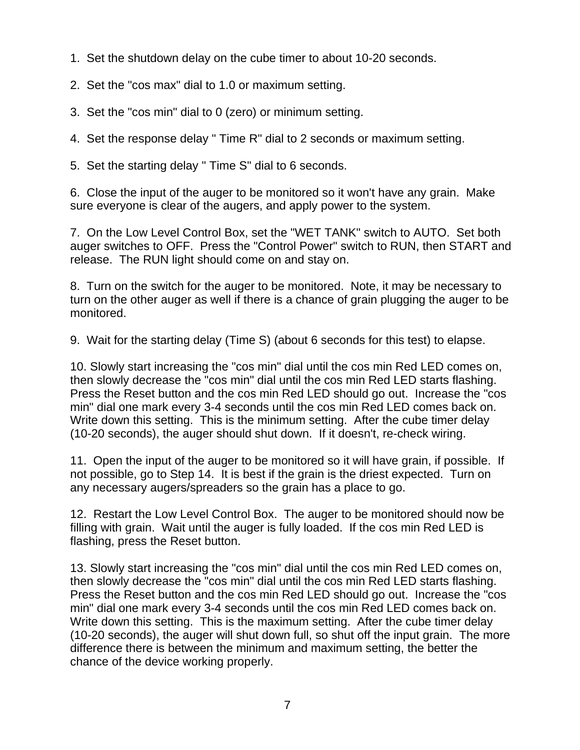- 1. Set the shutdown delay on the cube timer to about 10-20 seconds.
- 2. Set the "cos max" dial to 1.0 or maximum setting.
- 3. Set the "cos min" dial to 0 (zero) or minimum setting.
- 4. Set the response delay " Time R" dial to 2 seconds or maximum setting.
- 5. Set the starting delay " Time S" dial to 6 seconds.

6. Close the input of the auger to be monitored so it won't have any grain. Make sure everyone is clear of the augers, and apply power to the system.

7. On the Low Level Control Box, set the "WET TANK" switch to AUTO. Set both auger switches to OFF. Press the "Control Power" switch to RUN, then START and release. The RUN light should come on and stay on.

8. Turn on the switch for the auger to be monitored. Note, it may be necessary to turn on the other auger as well if there is a chance of grain plugging the auger to be monitored.

9. Wait for the starting delay (Time S) (about 6 seconds for this test) to elapse.

10. Slowly start increasing the "cos min" dial until the cos min Red LED comes on, then slowly decrease the "cos min" dial until the cos min Red LED starts flashing. Press the Reset button and the cos min Red LED should go out. Increase the "cos min" dial one mark every 3-4 seconds until the cos min Red LED comes back on. Write down this setting. This is the minimum setting. After the cube timer delay (10-20 seconds), the auger should shut down. If it doesn't, re-check wiring.

11. Open the input of the auger to be monitored so it will have grain, if possible. If not possible, go to Step 14. It is best if the grain is the driest expected. Turn on any necessary augers/spreaders so the grain has a place to go.

12. Restart the Low Level Control Box. The auger to be monitored should now be filling with grain. Wait until the auger is fully loaded. If the cos min Red LED is flashing, press the Reset button.

13. Slowly start increasing the "cos min" dial until the cos min Red LED comes on, then slowly decrease the "cos min" dial until the cos min Red LED starts flashing. Press the Reset button and the cos min Red LED should go out. Increase the "cos min" dial one mark every 3-4 seconds until the cos min Red LED comes back on. Write down this setting. This is the maximum setting. After the cube timer delay (10-20 seconds), the auger will shut down full, so shut off the input grain. The more difference there is between the minimum and maximum setting, the better the chance of the device working properly.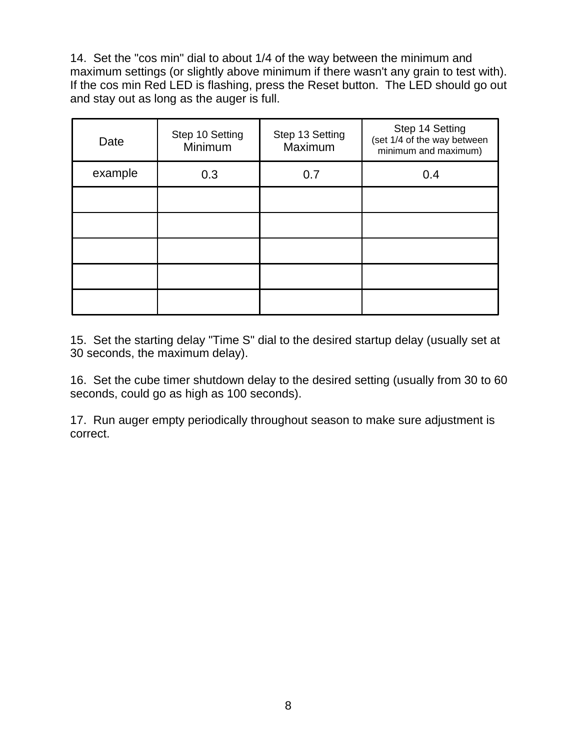14. Set the "cos min" dial to about 1/4 of the way between the minimum and maximum settings (or slightly above minimum if there wasn't any grain to test with). If the cos min Red LED is flashing, press the Reset button. The LED should go out and stay out as long as the auger is full.

| Date    | Step 10 Setting<br>Minimum | Step 13 Setting<br>Maximum | Step 14 Setting<br>(set 1/4 of the way between<br>minimum and maximum) |
|---------|----------------------------|----------------------------|------------------------------------------------------------------------|
| example | 0.3                        | 0.7                        | 0.4                                                                    |
|         |                            |                            |                                                                        |
|         |                            |                            |                                                                        |
|         |                            |                            |                                                                        |
|         |                            |                            |                                                                        |
|         |                            |                            |                                                                        |

15. Set the starting delay "Time S" dial to the desired startup delay (usually set at 30 seconds, the maximum delay).

16. Set the cube timer shutdown delay to the desired setting (usually from 30 to 60 seconds, could go as high as 100 seconds).

17. Run auger empty periodically throughout season to make sure adjustment is correct.